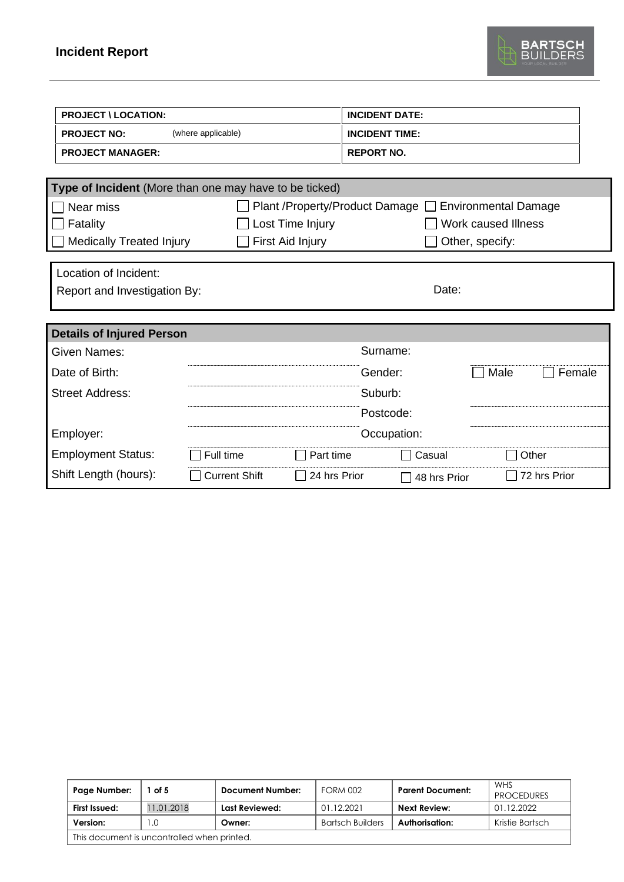

| <b>PROJECT \ LOCATION:</b>                             |                      |                                  | <b>INCIDENT DATE:</b> |                             |  |  |
|--------------------------------------------------------|----------------------|----------------------------------|-----------------------|-----------------------------|--|--|
| <b>PROJECT NO:</b>                                     | (where applicable)   |                                  | <b>INCIDENT TIME:</b> |                             |  |  |
| <b>PROJECT MANAGER:</b>                                |                      |                                  | <b>REPORT NO.</b>     |                             |  |  |
| Type of Incident (More than one may have to be ticked) |                      |                                  |                       |                             |  |  |
| Near miss                                              |                      | Plant /Property/Product Damage [ |                       | <b>Environmental Damage</b> |  |  |
| Fatality                                               |                      | Lost Time Injury                 |                       | <b>Work caused Illness</b>  |  |  |
| <b>Medically Treated Injury</b>                        |                      | First Aid Injury                 |                       | Other, specify:             |  |  |
|                                                        |                      |                                  |                       |                             |  |  |
| Location of Incident:                                  |                      |                                  |                       |                             |  |  |
| Report and Investigation By:                           |                      |                                  | Date:                 |                             |  |  |
|                                                        |                      |                                  |                       |                             |  |  |
| <b>Details of Injured Person</b>                       |                      |                                  |                       |                             |  |  |
| <b>Given Names:</b>                                    |                      |                                  | Surname:              |                             |  |  |
| Date of Birth:                                         |                      |                                  | Gender:               | Male<br>Female              |  |  |
| <b>Street Address:</b>                                 |                      |                                  | Suburb:               |                             |  |  |
|                                                        |                      |                                  | Postcode:             |                             |  |  |
| Employer:                                              |                      |                                  | Occupation:           |                             |  |  |
| <b>Employment Status:</b>                              | Full time            | Part time                        | Casual                | Other                       |  |  |
| Shift Length (hours):                                  | <b>Current Shift</b> | 24 hrs Prior                     | 48 hrs Prior          | 72 hrs Prior                |  |  |

| Page Number:                                | of 5       | Document Number: | <b>FORM 002</b>         | <b>Parent Document:</b> | <b>WHS</b><br><b>PROCEDURES</b> |  |
|---------------------------------------------|------------|------------------|-------------------------|-------------------------|---------------------------------|--|
| First Issued:                               | 11.01.2018 | Last Reviewed:   | 01.12.2021              | Next Review:            | 01.12.2022                      |  |
| Version:                                    | I .C       | Owner:           | <b>Bartsch Builders</b> | Authorisation:          | Kristie Bartsch                 |  |
| This document is uncontrolled when printed. |            |                  |                         |                         |                                 |  |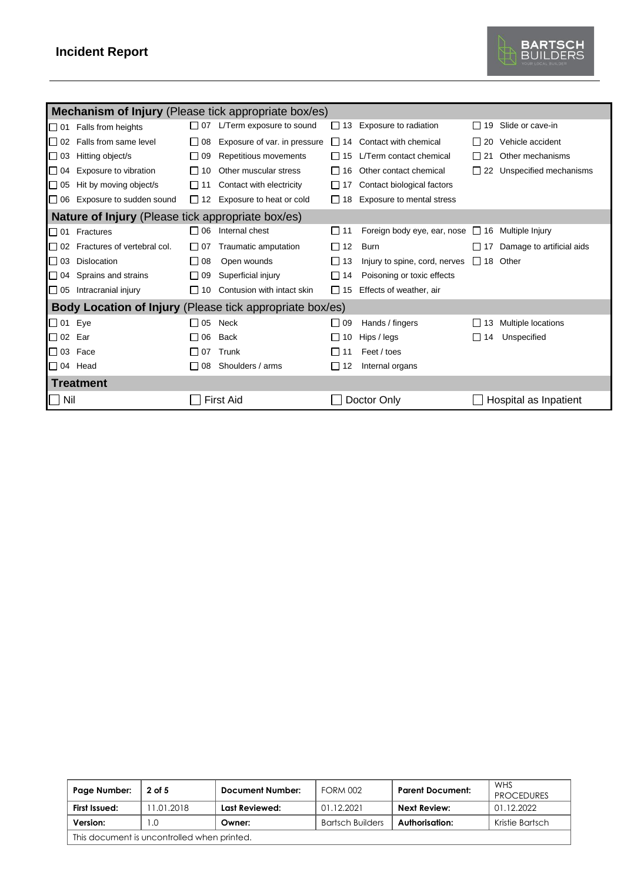## **Incident Report**



|                | <b>Mechanism of Injury</b> (Please tick appropriate box/es) |           |                                                          |           |                                                  |                 |                                  |
|----------------|-------------------------------------------------------------|-----------|----------------------------------------------------------|-----------|--------------------------------------------------|-----------------|----------------------------------|
|                | $\Box$ 01 Falls from heights                                | $\Box$ 07 | L/Term exposure to sound                                 | □ 13      | Exposure to radiation                            |                 | $\Box$ 19 Slide or cave-in       |
| $\Box$ 02      | Falls from same level                                       | $\Box$ 08 | Exposure of var. in pressure                             |           | $\Box$ 14 Contact with chemical                  |                 | $\Box$ 20 Vehicle accident       |
| $\Box$ 03      | Hitting object/s                                            | $\Box$ 09 | Repetitious movements                                    | $\Box$ 15 | L/Term contact chemical                          | $\Box$ 21       | Other mechanisms                 |
| $\Box$ 04      | Exposure to vibration                                       | $\Box$ 10 | Other muscular stress                                    | I 16      | Other contact chemical                           |                 | $\Box$ 22 Unspecified mechanisms |
| $\Box$ 05      | Hit by moving object/s                                      | $\Box$ 11 | Contact with electricity                                 | 1117      | Contact biological factors                       |                 |                                  |
|                | $\Box$ 06 Exposure to sudden sound                          |           | $\Box$ 12 Exposure to heat or cold                       | $\Box$ 18 | Exposure to mental stress                        |                 |                                  |
|                | Nature of Injury (Please tick appropriate box/es)           |           |                                                          |           |                                                  |                 |                                  |
|                | □ 01 Fractures                                              | $\Box$ 06 | Internal chest                                           | I 11      | Foreign body eye, ear, nose □ 16 Multiple Injury |                 |                                  |
|                | $\Box$ 02 Fractures of vertebral col.                       | $\Box$ 07 | Traumatic amputation                                     | $\Box$ 12 | <b>Burn</b>                                      | $\sqcup$ 17     | Damage to artificial aids        |
| $\square$ 03   | Dislocation                                                 | $\Box$ 08 | Open wounds                                              | $\Box$ 13 | Injury to spine, cord, nerves                    | $\Box$ 18 Other |                                  |
|                | $\Box$ 04 Sprains and strains                               | $\Box$ 09 | Superficial injury                                       | $\Box$ 14 | Poisoning or toxic effects                       |                 |                                  |
|                | $\Box$ 05 Intracranial injury                               | $\Box$ 10 | Contusion with intact skin                               | $\Box$ 15 | Effects of weather, air                          |                 |                                  |
|                |                                                             |           | Body Location of Injury (Please tick appropriate box/es) |           |                                                  |                 |                                  |
| $\Box$ 01 Eye  |                                                             | $\Box$ 05 | Neck                                                     | $\Box$ 09 | Hands / fingers                                  | $\Box$ 13       | Multiple locations               |
| $\Box$ 02 Ear  |                                                             | $\Box$ 06 | <b>Back</b>                                              | $\Box$ 10 | Hips / legs                                      | $\Box$ 14       | Unspecified                      |
| $\square$ 03   | Face                                                        | $\Box$ 07 | Trunk                                                    | l i 11    | Feet / toes                                      |                 |                                  |
| $\Box$ 04 Head |                                                             | $\Box$ 08 | Shoulders / arms                                         | $\Box$ 12 | Internal organs                                  |                 |                                  |
|                | <b>Treatment</b>                                            |           |                                                          |           |                                                  |                 |                                  |
| $\Box$ Nil     |                                                             |           | <b>First Aid</b>                                         |           | Doctor Only                                      |                 | Hospital as Inpatient            |

| Page Number:                                | 2 of 5    | Document Number: | <b>FORM 002</b>         | <b>Parent Document:</b> | <b>WHS</b><br><b>PROCEDURES</b> |  |
|---------------------------------------------|-----------|------------------|-------------------------|-------------------------|---------------------------------|--|
| First Issued:                               | 1.01.2018 | Last Reviewed:   | 01.12.2021              | <b>Next Review:</b>     | 01.12.2022                      |  |
| Version:                                    | .0        | Owner:           | <b>Bartsch Builders</b> | Authorisation:          | Kristie Bartsch                 |  |
| This document is uncontrolled when printed. |           |                  |                         |                         |                                 |  |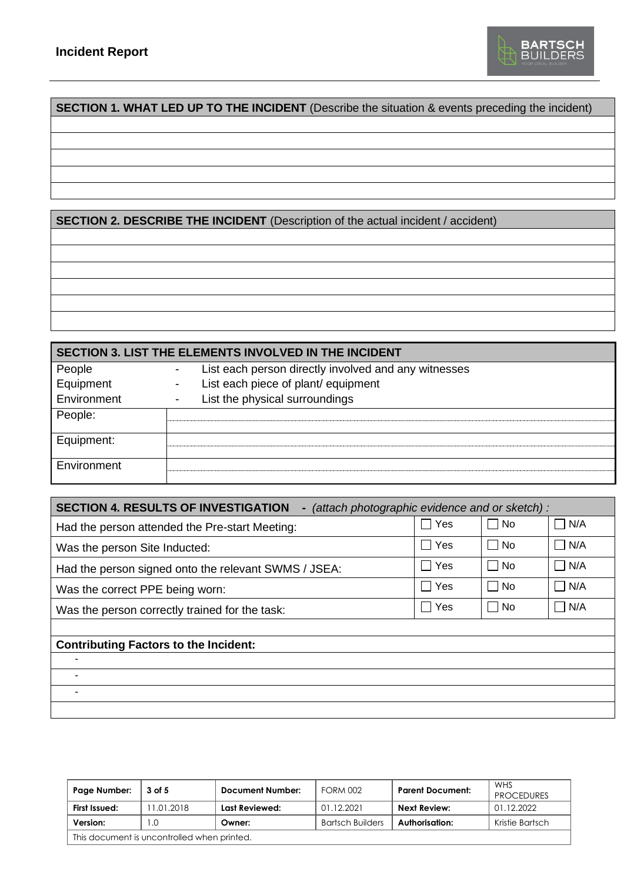

## **SECTION 1. WHAT LED UP TO THE INCIDENT** (Describe the situation & events preceding the incident)

**SECTION 2. DESCRIBE THE INCIDENT** (Description of the actual incident / accident)

**SECTION 3. LIST THE ELEMENTS INVOLVED IN THE INCIDENT** People **-** List each person directly involved and any witnesses Equipment - List each piece of plant/ equipment Environment - List the physical surroundings People: Equipment: **Environment** 

| <b>SECTION 4. RESULTS OF INVESTIGATION</b><br>(attach photographic evidence and or sketch):<br>۰ |               |                           |                       |  |  |  |
|--------------------------------------------------------------------------------------------------|---------------|---------------------------|-----------------------|--|--|--|
| Had the person attended the Pre-start Meeting:                                                   | Yes           | No.<br>$\blacksquare$     | N/A                   |  |  |  |
| Was the person Site Inducted:                                                                    | Yes<br>$\sim$ | No.<br>$\blacksquare$     | N/A<br>$\Box$         |  |  |  |
| Had the person signed onto the relevant SWMS / JSEA:                                             | Π Yes         | No                        | $\Box$ N/A            |  |  |  |
| Was the correct PPE being worn:                                                                  | Yes           | No.<br>$\blacksquare$     | N/A<br>$\blacksquare$ |  |  |  |
| Was the person correctly trained for the task:                                                   | ∩ Yes         | <b>No</b><br>$\mathsf{L}$ | $\neg$ N/A            |  |  |  |
|                                                                                                  |               |                           |                       |  |  |  |
| <b>Contributing Factors to the Incident:</b>                                                     |               |                           |                       |  |  |  |
|                                                                                                  |               |                           |                       |  |  |  |
|                                                                                                  |               |                           |                       |  |  |  |
|                                                                                                  |               |                           |                       |  |  |  |
|                                                                                                  |               |                           |                       |  |  |  |

| Page Number:                                | 3 of 5    | Document Number: | <b>FORM 002</b>         | <b>Parent Document:</b> | <b>WHS</b><br><b>PROCEDURES</b> |  |  |
|---------------------------------------------|-----------|------------------|-------------------------|-------------------------|---------------------------------|--|--|
| First Issued:                               | 1.01.2018 | Last Reviewed:   | 01.12.2021              | <b>Next Review:</b>     | 01.12.2022                      |  |  |
| Version:                                    | .0        | Owner:           | <b>Bartsch Builders</b> | Authorisation:          | Kristie Bartsch                 |  |  |
| This document is uncontrolled when printed. |           |                  |                         |                         |                                 |  |  |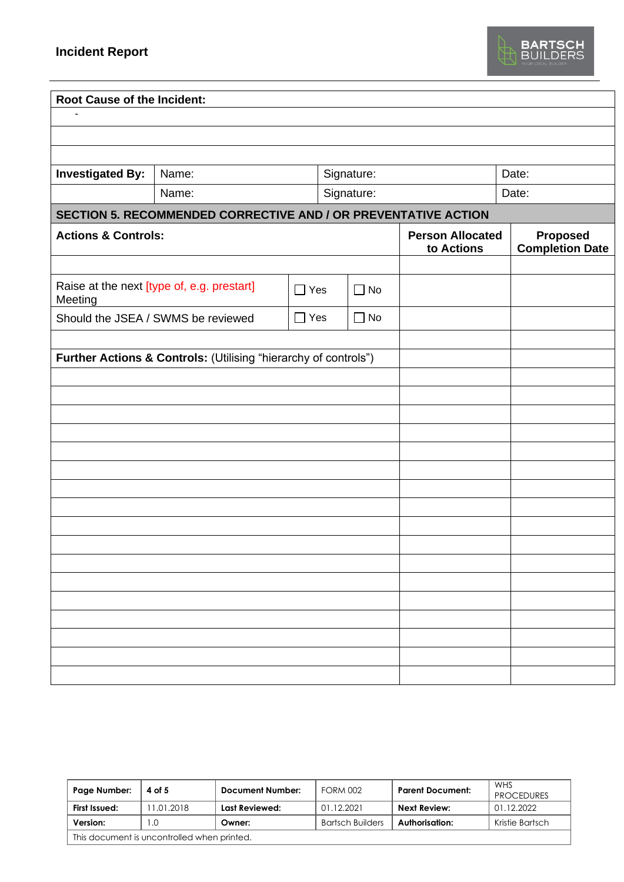

| <b>Root Cause of the Incident:</b> |                                                                 |            |  |              |                                       |       |                                           |
|------------------------------------|-----------------------------------------------------------------|------------|--|--------------|---------------------------------------|-------|-------------------------------------------|
|                                    |                                                                 |            |  |              |                                       |       |                                           |
|                                    |                                                                 |            |  |              |                                       |       |                                           |
|                                    |                                                                 |            |  |              |                                       |       |                                           |
| <b>Investigated By:</b>            | Signature:<br>Name:                                             |            |  |              |                                       | Date: |                                           |
|                                    | Name:                                                           |            |  | Signature:   |                                       |       | Date:                                     |
|                                    | SECTION 5. RECOMMENDED CORRECTIVE AND / OR PREVENTATIVE ACTION  |            |  |              |                                       |       |                                           |
| <b>Actions &amp; Controls:</b>     |                                                                 |            |  |              | <b>Person Allocated</b><br>to Actions |       | <b>Proposed</b><br><b>Completion Date</b> |
|                                    |                                                                 |            |  |              |                                       |       |                                           |
| Meeting                            | Raise at the next [type of, e.g. prestart]                      | $\Box$ Yes |  | $\square$ No |                                       |       |                                           |
|                                    | Should the JSEA / SWMS be reviewed                              | $\Box$ Yes |  | $\square$ No |                                       |       |                                           |
|                                    |                                                                 |            |  |              |                                       |       |                                           |
|                                    | Further Actions & Controls: (Utilising "hierarchy of controls") |            |  |              |                                       |       |                                           |
|                                    |                                                                 |            |  |              |                                       |       |                                           |
|                                    |                                                                 |            |  |              |                                       |       |                                           |
|                                    |                                                                 |            |  |              |                                       |       |                                           |
|                                    |                                                                 |            |  |              |                                       |       |                                           |
|                                    |                                                                 |            |  |              |                                       |       |                                           |
|                                    |                                                                 |            |  |              |                                       |       |                                           |
|                                    |                                                                 |            |  |              |                                       |       |                                           |
|                                    |                                                                 |            |  |              |                                       |       |                                           |
|                                    |                                                                 |            |  |              |                                       |       |                                           |
|                                    |                                                                 |            |  |              |                                       |       |                                           |
|                                    |                                                                 |            |  |              |                                       |       |                                           |
|                                    |                                                                 |            |  |              |                                       |       |                                           |
|                                    |                                                                 |            |  |              |                                       |       |                                           |
|                                    |                                                                 |            |  |              |                                       |       |                                           |
|                                    |                                                                 |            |  |              |                                       |       |                                           |
|                                    |                                                                 |            |  |              |                                       |       |                                           |

| Page Number:                                | 4 of 5     | Document Number: | <b>FORM 002</b>         | <b>Parent Document:</b> | <b>WHS</b><br><b>PROCEDURES</b> |  |
|---------------------------------------------|------------|------------------|-------------------------|-------------------------|---------------------------------|--|
| First Issued:                               | 11.01.2018 | Last Reviewed:   | 01.12.2021              | Next Review:            | 01.12.2022                      |  |
| Version:                                    | $\Omega$   | Owner:           | <b>Bartsch Builders</b> | Authorisation:          | Kristie Bartsch                 |  |
| This document is uncontrolled when printed. |            |                  |                         |                         |                                 |  |